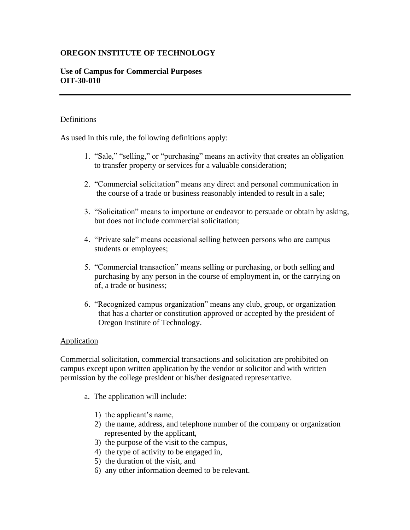# **OREGON INSTITUTE OF TECHNOLOGY**

## **Use of Campus for Commercial Purposes OIT-30-010**

### **Definitions**

As used in this rule, the following definitions apply:

- 1. "Sale," "selling," or "purchasing" means an activity that creates an obligation to transfer property or services for a valuable consideration;
- 2. "Commercial solicitation" means any direct and personal communication in the course of a trade or business reasonably intended to result in a sale;
- 3. "Solicitation" means to importune or endeavor to persuade or obtain by asking, but does not include commercial solicitation;
- 4. "Private sale" means occasional selling between persons who are campus students or employees;
- 5. "Commercial transaction" means selling or purchasing, or both selling and purchasing by any person in the course of employment in, or the carrying on of, a trade or business;
- 6. "Recognized campus organization" means any club, group, or organization that has a charter or constitution approved or accepted by the president of Oregon Institute of Technology.

## **Application**

Commercial solicitation, commercial transactions and solicitation are prohibited on campus except upon written application by the vendor or solicitor and with written permission by the college president or his/her designated representative.

- a. The application will include:
	- 1) the applicant's name,
	- 2) the name, address, and telephone number of the company or organization represented by the applicant,
	- 3) the purpose of the visit to the campus,
	- 4) the type of activity to be engaged in,
	- 5) the duration of the visit, and
	- 6) any other information deemed to be relevant.